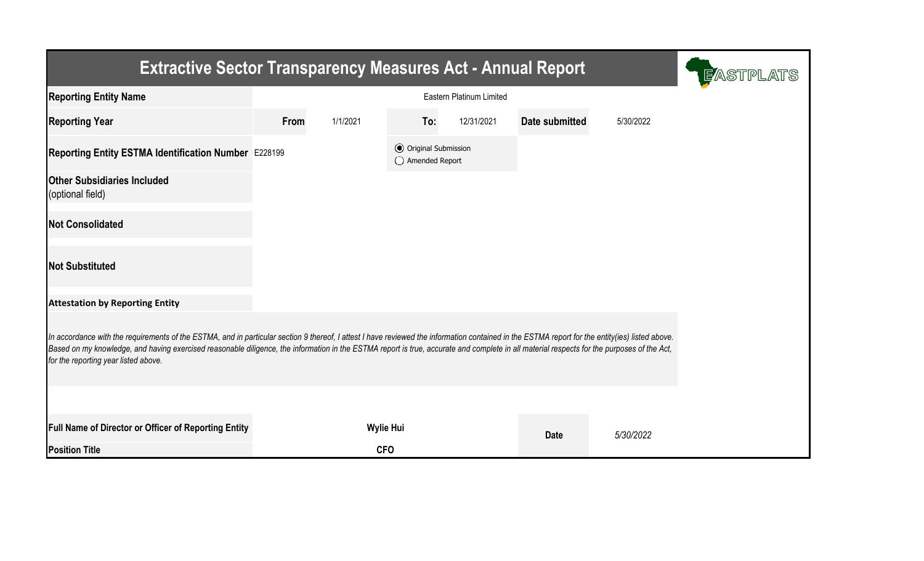| <b>Extractive Sector Transparency Measures Act - Annual Report</b>                                                                                                                                                                                                                                                                                                                                                                    | <b>E</b> ASTPLATS |                  |                                                  |            |                |           |  |  |  |  |
|---------------------------------------------------------------------------------------------------------------------------------------------------------------------------------------------------------------------------------------------------------------------------------------------------------------------------------------------------------------------------------------------------------------------------------------|-------------------|------------------|--------------------------------------------------|------------|----------------|-----------|--|--|--|--|
| <b>Reporting Entity Name</b>                                                                                                                                                                                                                                                                                                                                                                                                          |                   |                  |                                                  |            |                |           |  |  |  |  |
| <b>Reporting Year</b>                                                                                                                                                                                                                                                                                                                                                                                                                 | From              | 1/1/2021         | To:                                              | 12/31/2021 | Date submitted | 5/30/2022 |  |  |  |  |
| Reporting Entity ESTMA Identification Number E228199                                                                                                                                                                                                                                                                                                                                                                                  |                   |                  | <b>⊙</b> Original Submission<br>◯ Amended Report |            |                |           |  |  |  |  |
| <b>Other Subsidiaries Included</b><br>(optional field)                                                                                                                                                                                                                                                                                                                                                                                |                   |                  |                                                  |            |                |           |  |  |  |  |
| <b>Not Consolidated</b>                                                                                                                                                                                                                                                                                                                                                                                                               |                   |                  |                                                  |            |                |           |  |  |  |  |
| <b>Not Substituted</b>                                                                                                                                                                                                                                                                                                                                                                                                                |                   |                  |                                                  |            |                |           |  |  |  |  |
| <b>Attestation by Reporting Entity</b>                                                                                                                                                                                                                                                                                                                                                                                                |                   |                  |                                                  |            |                |           |  |  |  |  |
| In accordance with the requirements of the ESTMA, and in particular section 9 thereof, I attest I have reviewed the information contained in the ESTMA report for the entity(ies) listed above.<br>Based on my knowledge, and having exercised reasonable diligence, the information in the ESTMA report is true, accurate and complete in all material respects for the purposes of the Act,<br>for the reporting year listed above. |                   |                  |                                                  |            |                |           |  |  |  |  |
|                                                                                                                                                                                                                                                                                                                                                                                                                                       |                   |                  |                                                  |            |                |           |  |  |  |  |
| Full Name of Director or Officer of Reporting Entity                                                                                                                                                                                                                                                                                                                                                                                  |                   | <b>Wylie Hui</b> |                                                  |            | <b>Date</b>    | 5/30/2022 |  |  |  |  |
| <b>Position Title</b>                                                                                                                                                                                                                                                                                                                                                                                                                 |                   | <b>CFO</b>       |                                                  |            |                |           |  |  |  |  |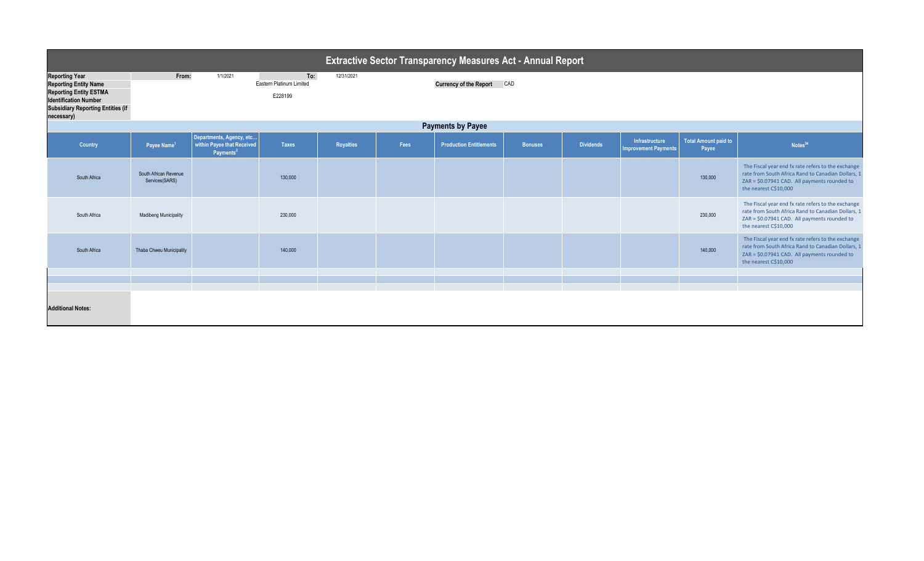|                                                                                                                                                                                  | <b>Extractive Sector Transparency Measures Act - Annual Report</b> |                                                                                 |                                            |                  |                            |                                |                |                  |                                               |                                      |                                                                                                                                                                                   |  |
|----------------------------------------------------------------------------------------------------------------------------------------------------------------------------------|--------------------------------------------------------------------|---------------------------------------------------------------------------------|--------------------------------------------|------------------|----------------------------|--------------------------------|----------------|------------------|-----------------------------------------------|--------------------------------------|-----------------------------------------------------------------------------------------------------------------------------------------------------------------------------------|--|
| <b>Reporting Year</b><br><b>Reporting Entity Name</b><br><b>Reporting Entity ESTMA</b><br><b>Identification Number</b><br><b>Subsidiary Reporting Entities (if</b><br>necessary) | From:                                                              | 1/1/2021                                                                        | To:<br>Eastern Platinum Limited<br>E228199 | 12/31/2021       | Currency of the Report CAD |                                |                |                  |                                               |                                      |                                                                                                                                                                                   |  |
| <b>Payments by Payee</b>                                                                                                                                                         |                                                                    |                                                                                 |                                            |                  |                            |                                |                |                  |                                               |                                      |                                                                                                                                                                                   |  |
| Country                                                                                                                                                                          | Payee Name <sup>1</sup>                                            | Departments, Agency, etc<br>within Payee that Received<br>Payments <sup>2</sup> | <b>Taxes</b>                               | <b>Royalties</b> | Fees                       | <b>Production Entitlements</b> | <b>Bonuses</b> | <b>Dividends</b> | Infrastructure<br><b>Improvement Payments</b> | <b>Total Amount paid to</b><br>Payee | Notes <sup>34</sup>                                                                                                                                                               |  |
| South Africa                                                                                                                                                                     | South African Revenue<br>Services(SARS)                            |                                                                                 | 130,000                                    |                  |                            |                                |                |                  |                                               | 130,000                              | The Fiscal year end fx rate refers to the exchange<br>rate from South Africa Rand to Canadian Dollars,<br>ZAR = \$0.07941 CAD. All payments rounded to<br>the nearest C\$10,000   |  |
| South Africa                                                                                                                                                                     | <b>Madibeng Municipality</b>                                       |                                                                                 | 230,000                                    |                  |                            |                                |                |                  |                                               | 230,000                              | The Fiscal year end fx rate refers to the exchange<br>rate from South Africa Rand to Canadian Dollars, 1<br>ZAR = \$0.07941 CAD. All payments rounded to<br>the nearest C\$10,000 |  |
| South Africa                                                                                                                                                                     | Thaba Chweu Municipality                                           |                                                                                 | 140,000                                    |                  |                            |                                |                |                  |                                               | 140,000                              | The Fiscal year end fx rate refers to the exchange<br>rate from South Africa Rand to Canadian Dollars, 1<br>ZAR = \$0.07941 CAD. All payments rounded to<br>the nearest C\$10,000 |  |
|                                                                                                                                                                                  |                                                                    |                                                                                 |                                            |                  |                            |                                |                |                  |                                               |                                      |                                                                                                                                                                                   |  |
|                                                                                                                                                                                  |                                                                    |                                                                                 |                                            |                  |                            |                                |                |                  |                                               |                                      |                                                                                                                                                                                   |  |
| <b>Additional Notes:</b>                                                                                                                                                         |                                                                    |                                                                                 |                                            |                  |                            |                                |                |                  |                                               |                                      |                                                                                                                                                                                   |  |